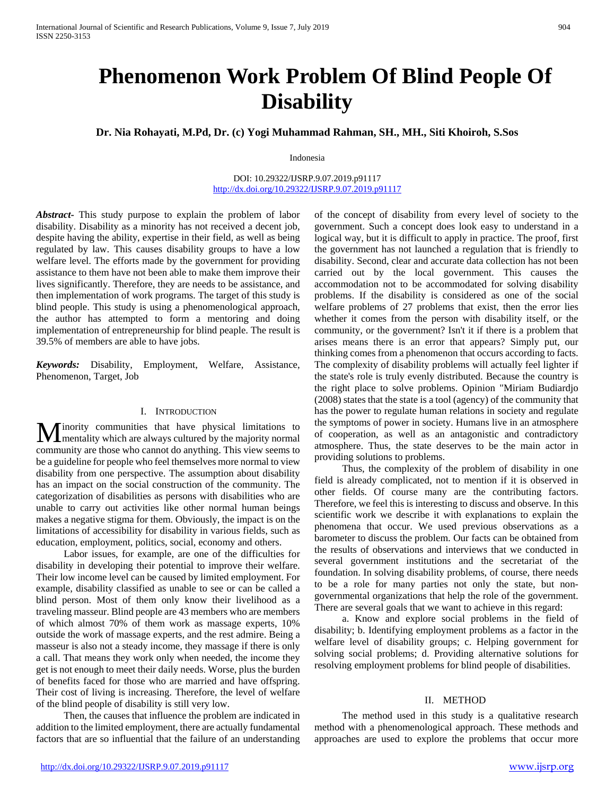# **Phenomenon Work Problem Of Blind People Of Disability**

**Dr. Nia Rohayati, M.Pd, Dr. (c) Yogi Muhammad Rahman, SH., MH., Siti Khoiroh, S.Sos**

Indonesia

DOI: 10.29322/IJSRP.9.07.2019.p91117 <http://dx.doi.org/10.29322/IJSRP.9.07.2019.p91117>

*Abstract***-** This study purpose to explain the problem of labor disability. Disability as a minority has not received a decent job, despite having the ability, expertise in their field, as well as being regulated by law. This causes disability groups to have a low welfare level. The efforts made by the government for providing assistance to them have not been able to make them improve their lives significantly. Therefore, they are needs to be assistance, and then implementation of work programs. The target of this study is blind people. This study is using a phenomenological approach, the author has attempted to form a mentoring and doing implementation of entrepreneurship for blind peaple. The result is 39.5% of members are able to have jobs.

*Keywords:* Disability, Employment, Welfare, Assistance, Phenomenon, Target, Job

### I. INTRODUCTION

inority communities that have physical limitations to **M** inority communities that have physical limitations to mentality which are always cultured by the majority normal community are those who cannot do anything. This view seems to be a guideline for people who feel themselves more normal to view disability from one perspective. The assumption about disability has an impact on the social construction of the community. The categorization of disabilities as persons with disabilities who are unable to carry out activities like other normal human beings makes a negative stigma for them. Obviously, the impact is on the limitations of accessibility for disability in various fields, such as education, employment, politics, social, economy and others.

 Labor issues, for example, are one of the difficulties for disability in developing their potential to improve their welfare. Their low income level can be caused by limited employment. For example, disability classified as unable to see or can be called a blind person. Most of them only know their livelihood as a traveling masseur. Blind people are 43 members who are members of which almost 70% of them work as massage experts, 10% outside the work of massage experts, and the rest admire. Being a masseur is also not a steady income, they massage if there is only a call. That means they work only when needed, the income they get is not enough to meet their daily needs. Worse, plus the burden of benefits faced for those who are married and have offspring. Their cost of living is increasing. Therefore, the level of welfare of the blind people of disability is still very low.

 Then, the causes that influence the problem are indicated in addition to the limited employment, there are actually fundamental factors that are so influential that the failure of an understanding

of the concept of disability from every level of society to the government. Such a concept does look easy to understand in a logical way, but it is difficult to apply in practice. The proof, first the government has not launched a regulation that is friendly to disability. Second, clear and accurate data collection has not been carried out by the local government. This causes the accommodation not to be accommodated for solving disability problems. If the disability is considered as one of the social welfare problems of 27 problems that exist, then the error lies whether it comes from the person with disability itself, or the community, or the government? Isn't it if there is a problem that arises means there is an error that appears? Simply put, our thinking comes from a phenomenon that occurs according to facts. The complexity of disability problems will actually feel lighter if the state's role is truly evenly distributed. Because the country is the right place to solve problems. Opinion "Miriam Budiardjo (2008) states that the state is a tool (agency) of the community that has the power to regulate human relations in society and regulate the symptoms of power in society. Humans live in an atmosphere of cooperation, as well as an antagonistic and contradictory atmosphere. Thus, the state deserves to be the main actor in providing solutions to problems.

 Thus, the complexity of the problem of disability in one field is already complicated, not to mention if it is observed in other fields. Of course many are the contributing factors. Therefore, we feel this is interesting to discuss and observe. In this scientific work we describe it with explanations to explain the phenomena that occur. We used previous observations as a barometer to discuss the problem. Our facts can be obtained from the results of observations and interviews that we conducted in several government institutions and the secretariat of the foundation. In solving disability problems, of course, there needs to be a role for many parties not only the state, but nongovernmental organizations that help the role of the government. There are several goals that we want to achieve in this regard:

 a. Know and explore social problems in the field of disability; b. Identifying employment problems as a factor in the welfare level of disability groups; c. Helping government for solving social problems; d. Providing alternative solutions for resolving employment problems for blind people of disabilities.

## II. METHOD

 The method used in this study is a qualitative research method with a phenomenological approach. These methods and approaches are used to explore the problems that occur more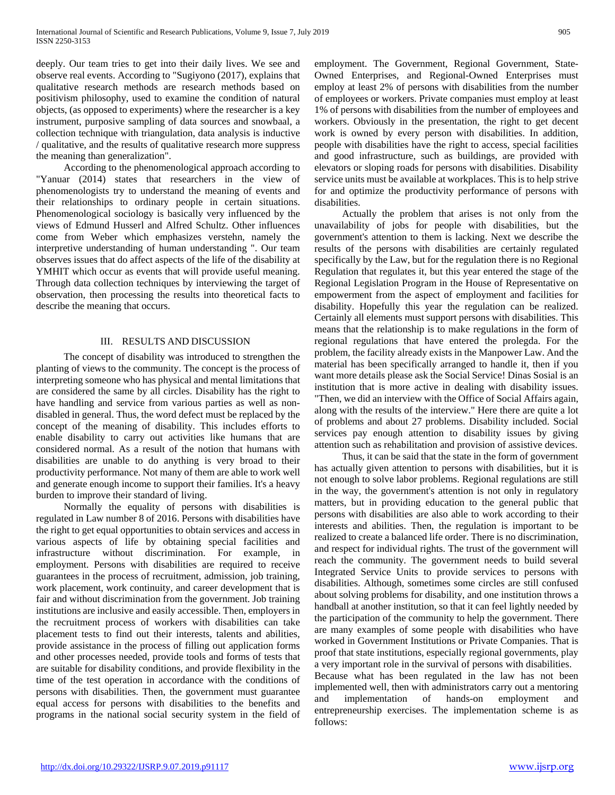deeply. Our team tries to get into their daily lives. We see and observe real events. According to "Sugiyono (2017), explains that qualitative research methods are research methods based on positivism philosophy, used to examine the condition of natural objects, (as opposed to experiments) where the researcher is a key instrument, purposive sampling of data sources and snowbaal, a collection technique with triangulation, data analysis is inductive / qualitative, and the results of qualitative research more suppress the meaning than generalization".

 According to the phenomenological approach according to "Yanuar (2014) states that researchers in the view of phenomenologists try to understand the meaning of events and their relationships to ordinary people in certain situations. Phenomenological sociology is basically very influenced by the views of Edmund Husserl and Alfred Schultz. Other influences come from Weber which emphasizes verstehn, namely the interpretive understanding of human understanding ". Our team observes issues that do affect aspects of the life of the disability at YMHIT which occur as events that will provide useful meaning. Through data collection techniques by interviewing the target of observation, then processing the results into theoretical facts to describe the meaning that occurs.

## III. RESULTS AND DISCUSSION

 The concept of disability was introduced to strengthen the planting of views to the community. The concept is the process of interpreting someone who has physical and mental limitations that are considered the same by all circles. Disability has the right to have handling and service from various parties as well as nondisabled in general. Thus, the word defect must be replaced by the concept of the meaning of disability. This includes efforts to enable disability to carry out activities like humans that are considered normal. As a result of the notion that humans with disabilities are unable to do anything is very broad to their productivity performance. Not many of them are able to work well and generate enough income to support their families. It's a heavy burden to improve their standard of living.

 Normally the equality of persons with disabilities is regulated in Law number 8 of 2016. Persons with disabilities have the right to get equal opportunities to obtain services and access in various aspects of life by obtaining special facilities and infrastructure without discrimination. For example, in employment. Persons with disabilities are required to receive guarantees in the process of recruitment, admission, job training, work placement, work continuity, and career development that is fair and without discrimination from the government. Job training institutions are inclusive and easily accessible. Then, employers in the recruitment process of workers with disabilities can take placement tests to find out their interests, talents and abilities, provide assistance in the process of filling out application forms and other processes needed, provide tools and forms of tests that are suitable for disability conditions, and provide flexibility in the time of the test operation in accordance with the conditions of persons with disabilities. Then, the government must guarantee equal access for persons with disabilities to the benefits and programs in the national social security system in the field of employment. The Government, Regional Government, State-Owned Enterprises, and Regional-Owned Enterprises must employ at least 2% of persons with disabilities from the number of employees or workers. Private companies must employ at least 1% of persons with disabilities from the number of employees and workers. Obviously in the presentation, the right to get decent work is owned by every person with disabilities. In addition, people with disabilities have the right to access, special facilities and good infrastructure, such as buildings, are provided with elevators or sloping roads for persons with disabilities. Disability service units must be available at workplaces. This is to help strive for and optimize the productivity performance of persons with disabilities.

 Actually the problem that arises is not only from the unavailability of jobs for people with disabilities, but the government's attention to them is lacking. Next we describe the results of the persons with disabilities are certainly regulated specifically by the Law, but for the regulation there is no Regional Regulation that regulates it, but this year entered the stage of the Regional Legislation Program in the House of Representative on empowerment from the aspect of employment and facilities for disability. Hopefully this year the regulation can be realized. Certainly all elements must support persons with disabilities. This means that the relationship is to make regulations in the form of regional regulations that have entered the prolegda. For the problem, the facility already exists in the Manpower Law. And the material has been specifically arranged to handle it, then if you want more details please ask the Social Service! Dinas Sosial is an institution that is more active in dealing with disability issues. "Then, we did an interview with the Office of Social Affairs again, along with the results of the interview." Here there are quite a lot of problems and about 27 problems. Disability included. Social services pay enough attention to disability issues by giving attention such as rehabilitation and provision of assistive devices.

 Thus, it can be said that the state in the form of government has actually given attention to persons with disabilities, but it is not enough to solve labor problems. Regional regulations are still in the way, the government's attention is not only in regulatory matters, but in providing education to the general public that persons with disabilities are also able to work according to their interests and abilities. Then, the regulation is important to be realized to create a balanced life order. There is no discrimination, and respect for individual rights. The trust of the government will reach the community. The government needs to build several Integrated Service Units to provide services to persons with disabilities. Although, sometimes some circles are still confused about solving problems for disability, and one institution throws a handball at another institution, so that it can feel lightly needed by the participation of the community to help the government. There are many examples of some people with disabilities who have worked in Government Institutions or Private Companies. That is proof that state institutions, especially regional governments, play a very important role in the survival of persons with disabilities. Because what has been regulated in the law has not been implemented well, then with administrators carry out a mentoring

and implementation of hands-on employment and entrepreneurship exercises. The implementation scheme is as follows: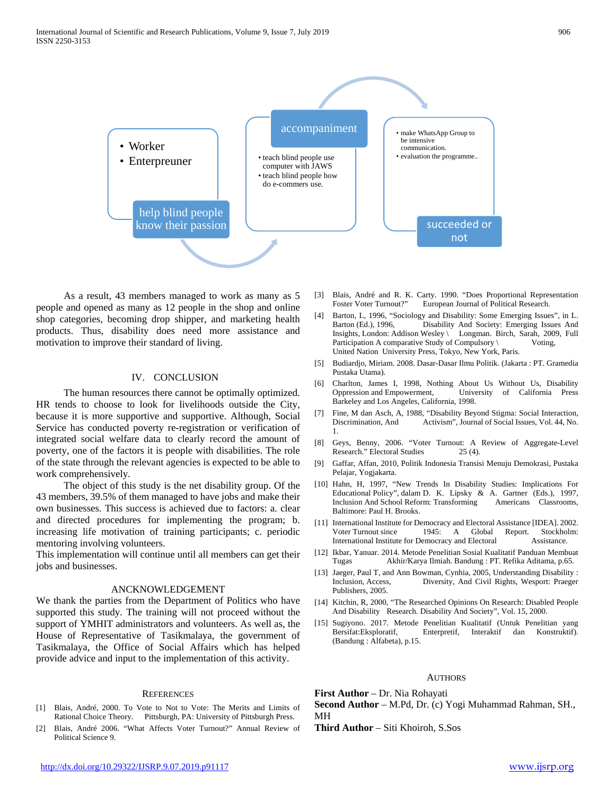

 As a result, 43 members managed to work as many as 5 people and opened as many as 12 people in the shop and online shop categories, becoming drop shipper, and marketing health products. Thus, disability does need more assistance and motivation to improve their standard of living.

#### IV. CONCLUSION

 The human resources there cannot be optimally optimized. HR tends to choose to look for livelihoods outside the City, because it is more supportive and supportive. Although, Social Service has conducted poverty re-registration or verification of integrated social welfare data to clearly record the amount of poverty, one of the factors it is people with disabilities. The role of the state through the relevant agencies is expected to be able to work comprehensively.

 The object of this study is the net disability group. Of the 43 members, 39.5% of them managed to have jobs and make their own businesses. This success is achieved due to factors: a. clear and directed procedures for implementing the program; b. increasing life motivation of training participants; c. periodic mentoring involving volunteers.

This implementation will continue until all members can get their jobs and businesses.

#### ANCKNOWLEDGEMENT

We thank the parties from the Department of Politics who have supported this study. The training will not proceed without the support of YMHIT administrators and volunteers. As well as, the House of Representative of Tasikmalaya, the government of Tasikmalaya, the Office of Social Affairs which has helped provide advice and input to the implementation of this activity.

#### **REFERENCES**

- [1] Blais, André, 2000. To Vote to Not to Vote: The Merits and Limits of Rational Choice Theory. Pittsburgh, PA: University of Pittsburgh Press.
- [2] Blais, André 2006. "What Affects Voter Turnout?" Annual Review of Political Science 9.
- [3] Blais, André and R. K. Carty. 1990. "Does Proportional Representation Foster Voter Turnout?" European Journal of Political Research.
- [4] Barton, L, 1996, "Sociology and Disability: Some Emerging Issues", in L. Disability And Society: Emerging Issues And Insights, London: Addison Wesley \ Longman. Birch, Sarah, 2009, Full Participation A comparative Study of Compulsory \ Voting, United Nation University Press, Tokyo, New York, Paris.
- [5] Budiardjo, Miriam. 2008. Dasar-Dasar Ilmu Politik. (Jakarta : PT. Gramedia Pustaka Utama).
- [6] Charlton, James I, 1998, Nothing About Us Without Us, Disability University of California Press Barkeley and Los Angeles, California, 1998.
- [7] Fine, M dan Asch, A, 1988, "Disability Beyond Stigma: Social Interaction, Discrimination, And Activism", Journal of Social Issues, Vol. 44, No. 1.
- [8] Geys, Benny, 2006. "Voter Turnout: A Review of Aggregate-Level Research." Electoral Studies 25 (4).
- [9] Gaffar, Affan, 2010, Politik Indonesia Transisi Menuju Demokrasi, Pustaka Pelajar, Yogjakarta.
- [10] Hahn, H, 1997, "New Trends In Disability Studies: Implications For Educational Policy", dalam D. K. Lipsky & A. Gartner (Eds.), 1997, Inclusion And School Reform: Transforming Americans Classrooms, Baltimore: Paul H. Brooks.
- [11] International Institute for Democracy and Electoral Assistance [IDEA]. 2002. Voter Turnout since 1945: A Global Report. Stockholm:<br>International Institute for Democracy and Electoral Assistance. International Institute for Democracy and Electoral
- [12] Ikbar, Yanuar. 2014. Metode Penelitian Sosial Kualitatif Panduan Membuat Tugas Akhir/Karya Ilmiah. Bandung : PT. Refika Aditama, p.65.
- [13] Jaeger, Paul T, and Ann Bowman, Cynhia, 2005, Understanding Disability : Inclusion, Access, Diversity, And Civil Rights, Wesport: Praeger Publishers, 2005.
- [14] Kitchin, R, 2000, "The Researched Opinions On Research: Disabled People And Disability Research. Disability And Society", Vol. 15, 2000.
- [15] Sugiyono. 2017. Metode Penelitian Kualitatif (Untuk Penelitian yang Bersifat:Eksploratif, Enterpretif, Interaktif dan Konstruktif). (Bandung : Alfabeta), p.15.

#### **AUTHORS**

**First Author** – Dr. Nia Rohayati

**Second Author** – M.Pd, Dr. (c) Yogi Muhammad Rahman, SH., MH

**Third Author** – Siti Khoiroh, S.Sos